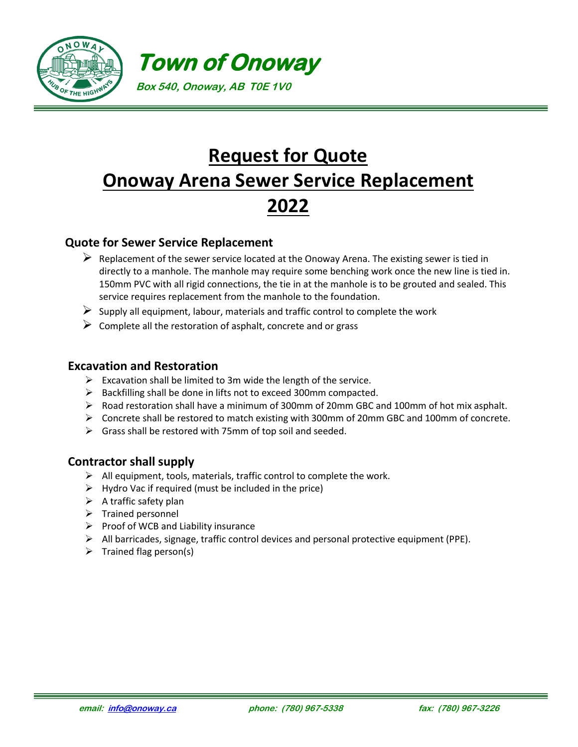

## **Request for Quote Onoway Arena Sewer Service Replacement 2022**

## **Quote for Sewer Service Replacement**

- $\triangleright$  Replacement of the sewer service located at the Onoway Arena. The existing sewer is tied in directly to a manhole. The manhole may require some benching work once the new line is tied in. 150mm PVC with all rigid connections, the tie in at the manhole is to be grouted and sealed. This service requires replacement from the manhole to the foundation.
- $\triangleright$  Supply all equipment, labour, materials and traffic control to complete the work
- $\triangleright$  Complete all the restoration of asphalt, concrete and or grass

## **Excavation and Restoration**

- $\triangleright$  Excavation shall be limited to 3m wide the length of the service.
- ➢ Backfilling shall be done in lifts not to exceed 300mm compacted.
- ➢ Road restoration shall have a minimum of 300mm of 20mm GBC and 100mm of hot mix asphalt.
- ➢ Concrete shall be restored to match existing with 300mm of 20mm GBC and 100mm of concrete.
- $\triangleright$  Grass shall be restored with 75mm of top soil and seeded.

## **Contractor shall supply**

- ➢ All equipment, tools, materials, traffic control to complete the work.
- $\triangleright$  Hydro Vac if required (must be included in the price)
- $\triangleright$  A traffic safety plan
- ➢ Trained personnel
- $\triangleright$  Proof of WCB and Liability insurance
- ➢ All barricades, signage, traffic control devices and personal protective equipment (PPE).
- $\triangleright$  Trained flag person(s)